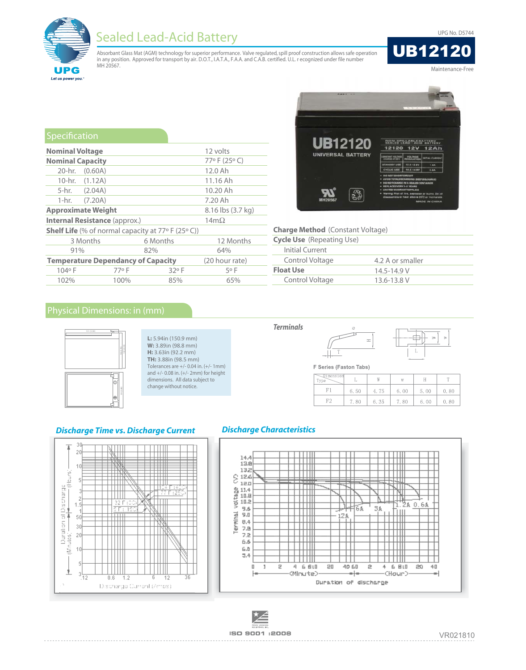**UPG No. D5744** 



# **Sealed Lead-Acid Battery**

Absorbant Glass Mat (AGM) technology for superior performance. Valve regulated, spill proof construction allows safe operation in any position. Approved for transport by air. D.O.T., I.A.T.A., F.A.A. and C.A.B. certified. U.L. recognized under file number<br>MH 20567.

**UB12120** Maintenance-Free

| Specification                                               |                                      |          |                   |             |  |  |  |  |
|-------------------------------------------------------------|--------------------------------------|----------|-------------------|-------------|--|--|--|--|
| <b>Nominal Voltage</b>                                      | 12 volts                             |          |                   |             |  |  |  |  |
| <b>Nominal Capacity</b>                                     | 77°F (25°C)                          |          |                   |             |  |  |  |  |
|                                                             | 20-hr. $(0.60A)$                     |          |                   | 12.0 Ah     |  |  |  |  |
|                                                             | 10-hr. (1.12A)                       |          |                   | 11.16 Ah    |  |  |  |  |
|                                                             | 5-hr. (2.04A)                        |          |                   | 10.20 Ah    |  |  |  |  |
|                                                             | 1-hr. $(7.20A)$                      |          |                   | 7.20 Ah     |  |  |  |  |
|                                                             | <b>Approximate Weight</b>            |          | 8.16 lbs (3.7 kg) |             |  |  |  |  |
|                                                             | <b>Internal Resistance (approx.)</b> |          |                   | $14m\Omega$ |  |  |  |  |
| <b>Shelf Life</b> (% of normal capacity at $77°$ F (25° C)) |                                      |          |                   |             |  |  |  |  |
|                                                             | 3 Months                             | 6 Months |                   | 12 Months   |  |  |  |  |
| 91%                                                         |                                      | 82%      |                   | 64%         |  |  |  |  |
| <b>Temperature Dependancy of Capacity</b>                   | (20 hour rate)                       |          |                   |             |  |  |  |  |
| 104°F                                                       | 77° F                                |          | $32°$ F           | 5° F        |  |  |  |  |
| 102%                                                        | 100%                                 |          | 85%               | 65%         |  |  |  |  |



| <b>Charge Method</b> (Constant Voltage) |                  |  |  |  |  |
|-----------------------------------------|------------------|--|--|--|--|
| <b>Cycle Use</b> (Repeating Use)        |                  |  |  |  |  |
| Initial Current                         |                  |  |  |  |  |
| Control Voltage                         | 4.2 A or smaller |  |  |  |  |
| <b>Float Use</b>                        | $14.5 - 14.9$ V  |  |  |  |  |
| Control Voltage                         | $13.6 - 13.8$ V  |  |  |  |  |
|                                         |                  |  |  |  |  |

 $\equiv$ 

 $\bar{W}$ 

4.75

6.35

dell

 $\bar{\rm H}$ 

 $5.00$ 

6.00

W

6.00

7.80

 $\mathbb{T}$ 

 $0.80$ 

 $0.80$ 

## Physical Dimensions: in (mm)



#### L: 5.94in (150.9 mm) W: 3.89in (98.8 mm) H: 3.63in (92.2 mm) TH: 3.88in (98.5 mm) Tolerances are  $+/- 0.04$  in.  $(+/- 1$ mm) and  $+/- 0.08$  in.  $(+/- 2$ mm) for height dimensions. All data subject to change without notice.

#### **Discharge Time vs. Discharge Current**

**Terminals** 

#### **Discharge Characteristics**





F Series (Faston Tabs)

Ť

6.50

7.80